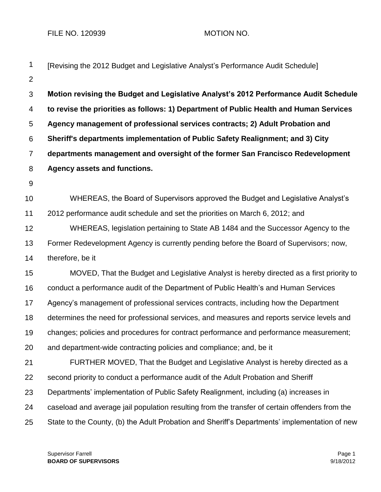FILE NO. 120939 MOTION NO.

| 1              | [Revising the 2012 Budget and Legislative Analyst's Performance Audit Schedule]                |
|----------------|------------------------------------------------------------------------------------------------|
| $\overline{2}$ |                                                                                                |
| $\mathfrak{S}$ | Motion revising the Budget and Legislative Analyst's 2012 Performance Audit Schedule           |
| $\overline{4}$ | to revise the priorities as follows: 1) Department of Public Health and Human Services         |
| $\sqrt{5}$     | Agency management of professional services contracts; 2) Adult Probation and                   |
| 6              | Sheriff's departments implementation of Public Safety Realignment; and 3) City                 |
| $\overline{7}$ | departments management and oversight of the former San Francisco Redevelopment                 |
| 8              | <b>Agency assets and functions.</b>                                                            |
| 9              |                                                                                                |
| 10             | WHEREAS, the Board of Supervisors approved the Budget and Legislative Analyst's                |
| 11             | 2012 performance audit schedule and set the priorities on March 6, 2012; and                   |
| 12             | WHEREAS, legislation pertaining to State AB 1484 and the Successor Agency to the               |
| 13             | Former Redevelopment Agency is currently pending before the Board of Supervisors; now,         |
| 14             | therefore, be it                                                                               |
| 15             | MOVED, That the Budget and Legislative Analyst is hereby directed as a first priority to       |
| 16             | conduct a performance audit of the Department of Public Health's and Human Services            |
| 17             | Agency's management of professional services contracts, including how the Department           |
| 18             | determines the need for professional services, and measures and reports service levels and     |
| 19             | changes; policies and procedures for contract performance and performance measurement;         |
| 20             | and department-wide contracting policies and compliance; and, be it                            |
| 21             | FURTHER MOVED, That the Budget and Legislative Analyst is hereby directed as a                 |
| 22             | second priority to conduct a performance audit of the Adult Probation and Sheriff              |
| 23             | Departments' implementation of Public Safety Realignment, including (a) increases in           |
| 24             | caseload and average jail population resulting from the transfer of certain offenders from the |
| 25             | State to the County, (b) the Adult Probation and Sheriff's Departments' implementation of new  |